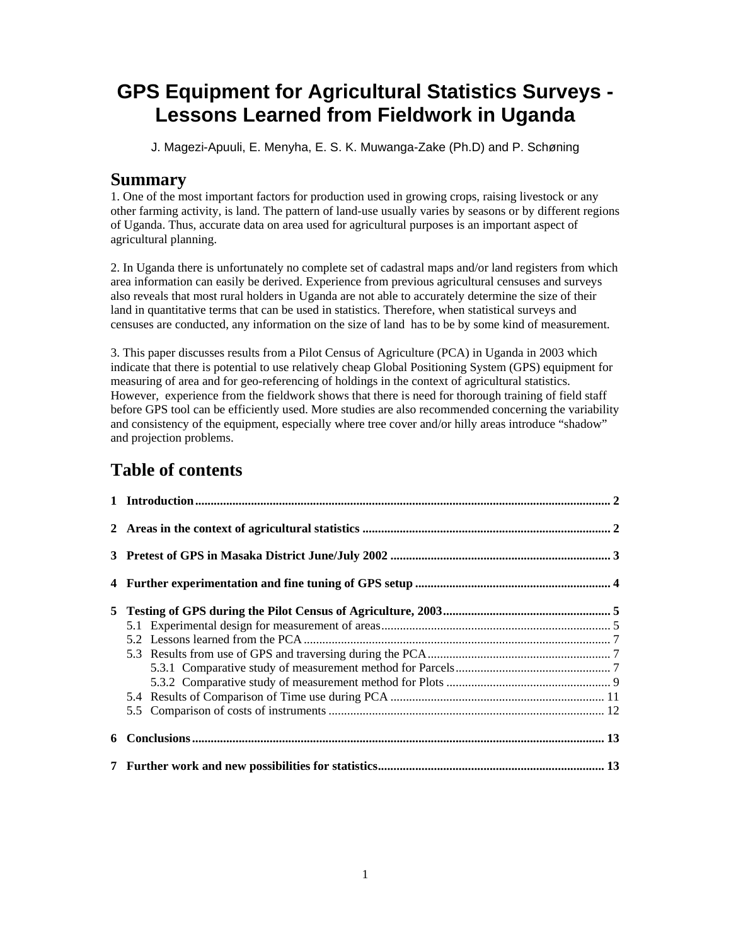# **GPS Equipment for Agricultural Statistics Surveys - Lessons Learned from Fieldwork in Uganda**

J. Magezi-Apuuli, E. Menyha, E. S. K. Muwanga-Zake (Ph.D) and P. Schøning

### **Summary**

1. One of the most important factors for production used in growing crops, raising livestock or any other farming activity, is land. The pattern of land-use usually varies by seasons or by different regions of Uganda. Thus, accurate data on area used for agricultural purposes is an important aspect of agricultural planning.

2. In Uganda there is unfortunately no complete set of cadastral maps and/or land registers from which area information can easily be derived. Experience from previous agricultural censuses and surveys also reveals that most rural holders in Uganda are not able to accurately determine the size of their land in quantitative terms that can be used in statistics. Therefore, when statistical surveys and censuses are conducted, any information on the size of land has to be by some kind of measurement.

3. This paper discusses results from a Pilot Census of Agriculture (PCA) in Uganda in 2003 which indicate that there is potential to use relatively cheap Global Positioning System (GPS) equipment for measuring of area and for geo-referencing of holdings in the context of agricultural statistics. However, experience from the fieldwork shows that there is need for thorough training of field staff before GPS tool can be efficiently used. More studies are also recommended concerning the variability and consistency of the equipment, especially where tree cover and/or hilly areas introduce "shadow" and projection problems.

# **Table of contents**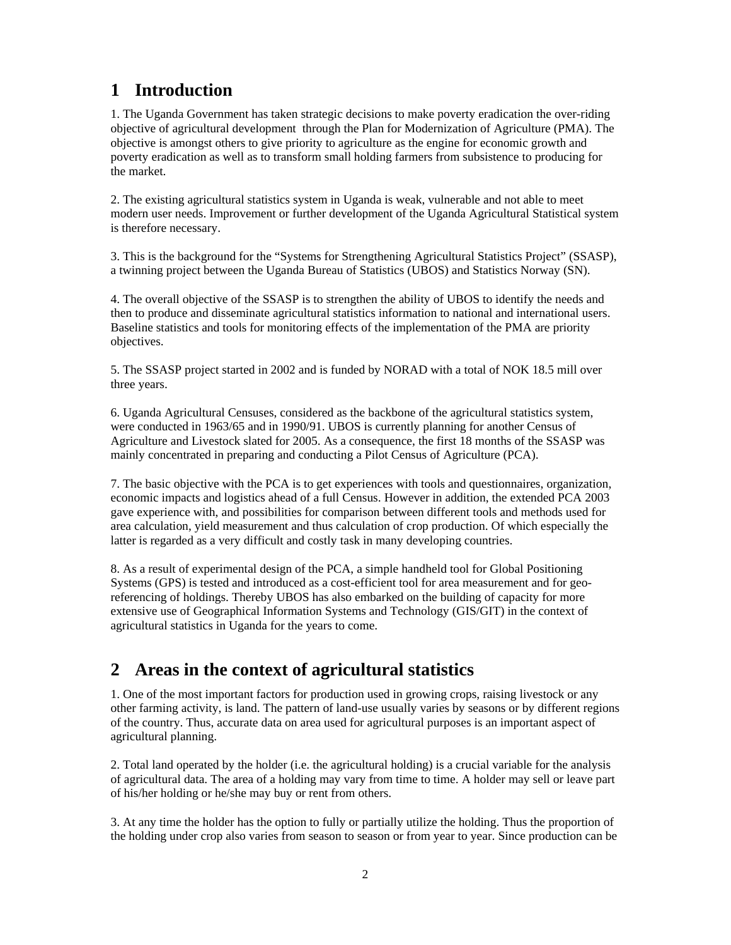# **1 Introduction**

1. The Uganda Government has taken strategic decisions to make poverty eradication the over-riding objective of agricultural development through the Plan for Modernization of Agriculture (PMA). The objective is amongst others to give priority to agriculture as the engine for economic growth and poverty eradication as well as to transform small holding farmers from subsistence to producing for the market.

2. The existing agricultural statistics system in Uganda is weak, vulnerable and not able to meet modern user needs. Improvement or further development of the Uganda Agricultural Statistical system is therefore necessary.

3. This is the background for the "Systems for Strengthening Agricultural Statistics Project" (SSASP), a twinning project between the Uganda Bureau of Statistics (UBOS) and Statistics Norway (SN).

4. The overall objective of the SSASP is to strengthen the ability of UBOS to identify the needs and then to produce and disseminate agricultural statistics information to national and international users. Baseline statistics and tools for monitoring effects of the implementation of the PMA are priority objectives.

5. The SSASP project started in 2002 and is funded by NORAD with a total of NOK 18.5 mill over three years.

6. Uganda Agricultural Censuses, considered as the backbone of the agricultural statistics system, were conducted in 1963/65 and in 1990/91. UBOS is currently planning for another Census of Agriculture and Livestock slated for 2005. As a consequence, the first 18 months of the SSASP was mainly concentrated in preparing and conducting a Pilot Census of Agriculture (PCA).

7. The basic objective with the PCA is to get experiences with tools and questionnaires, organization, economic impacts and logistics ahead of a full Census. However in addition, the extended PCA 2003 gave experience with, and possibilities for comparison between different tools and methods used for area calculation, yield measurement and thus calculation of crop production. Of which especially the latter is regarded as a very difficult and costly task in many developing countries.

8. As a result of experimental design of the PCA, a simple handheld tool for Global Positioning Systems (GPS) is tested and introduced as a cost-efficient tool for area measurement and for georeferencing of holdings. Thereby UBOS has also embarked on the building of capacity for more extensive use of Geographical Information Systems and Technology (GIS/GIT) in the context of agricultural statistics in Uganda for the years to come.

# **2 Areas in the context of agricultural statistics**

1. One of the most important factors for production used in growing crops, raising livestock or any other farming activity, is land. The pattern of land-use usually varies by seasons or by different regions of the country. Thus, accurate data on area used for agricultural purposes is an important aspect of agricultural planning.

2. Total land operated by the holder (i.e. the agricultural holding) is a crucial variable for the analysis of agricultural data. The area of a holding may vary from time to time. A holder may sell or leave part of his/her holding or he/she may buy or rent from others.

3. At any time the holder has the option to fully or partially utilize the holding. Thus the proportion of the holding under crop also varies from season to season or from year to year. Since production can be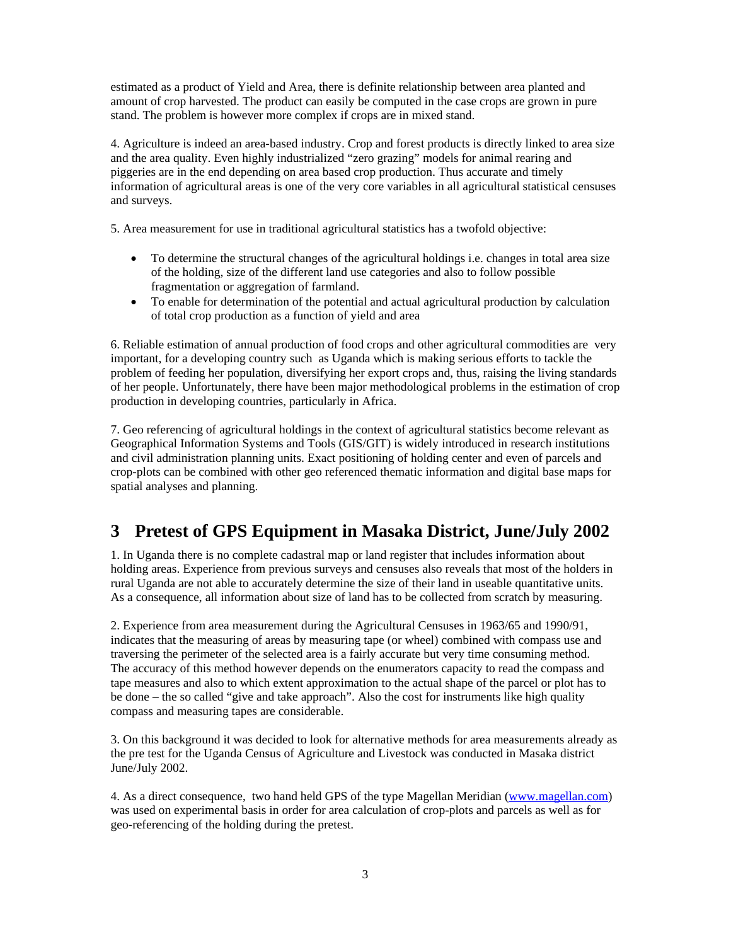estimated as a product of Yield and Area, there is definite relationship between area planted and amount of crop harvested. The product can easily be computed in the case crops are grown in pure stand. The problem is however more complex if crops are in mixed stand.

4. Agriculture is indeed an area-based industry. Crop and forest products is directly linked to area size and the area quality. Even highly industrialized "zero grazing" models for animal rearing and piggeries are in the end depending on area based crop production. Thus accurate and timely information of agricultural areas is one of the very core variables in all agricultural statistical censuses and surveys.

5. Area measurement for use in traditional agricultural statistics has a twofold objective:

- To determine the structural changes of the agricultural holdings i.e. changes in total area size of the holding, size of the different land use categories and also to follow possible fragmentation or aggregation of farmland.
- To enable for determination of the potential and actual agricultural production by calculation of total crop production as a function of yield and area

6. Reliable estimation of annual production of food crops and other agricultural commodities are very important, for a developing country such as Uganda which is making serious efforts to tackle the problem of feeding her population, diversifying her export crops and, thus, raising the living standards of her people. Unfortunately, there have been major methodological problems in the estimation of crop production in developing countries, particularly in Africa.

7. Geo referencing of agricultural holdings in the context of agricultural statistics become relevant as Geographical Information Systems and Tools (GIS/GIT) is widely introduced in research institutions and civil administration planning units. Exact positioning of holding center and even of parcels and crop-plots can be combined with other geo referenced thematic information and digital base maps for spatial analyses and planning.

# **3 Pretest of GPS Equipment in Masaka District, June/July 2002**

1. In Uganda there is no complete cadastral map or land register that includes information about holding areas. Experience from previous surveys and censuses also reveals that most of the holders in rural Uganda are not able to accurately determine the size of their land in useable quantitative units. As a consequence, all information about size of land has to be collected from scratch by measuring.

2. Experience from area measurement during the Agricultural Censuses in 1963/65 and 1990/91, indicates that the measuring of areas by measuring tape (or wheel) combined with compass use and traversing the perimeter of the selected area is a fairly accurate but very time consuming method. The accuracy of this method however depends on the enumerators capacity to read the compass and tape measures and also to which extent approximation to the actual shape of the parcel or plot has to be done – the so called "give and take approach". Also the cost for instruments like high quality compass and measuring tapes are considerable.

3. On this background it was decided to look for alternative methods for area measurements already as the pre test for the Uganda Census of Agriculture and Livestock was conducted in Masaka district June/July 2002.

4. As a direct consequence, two hand held GPS of the type Magellan Meridian (www.magellan.com) was used on experimental basis in order for area calculation of crop-plots and parcels as well as for geo-referencing of the holding during the pretest.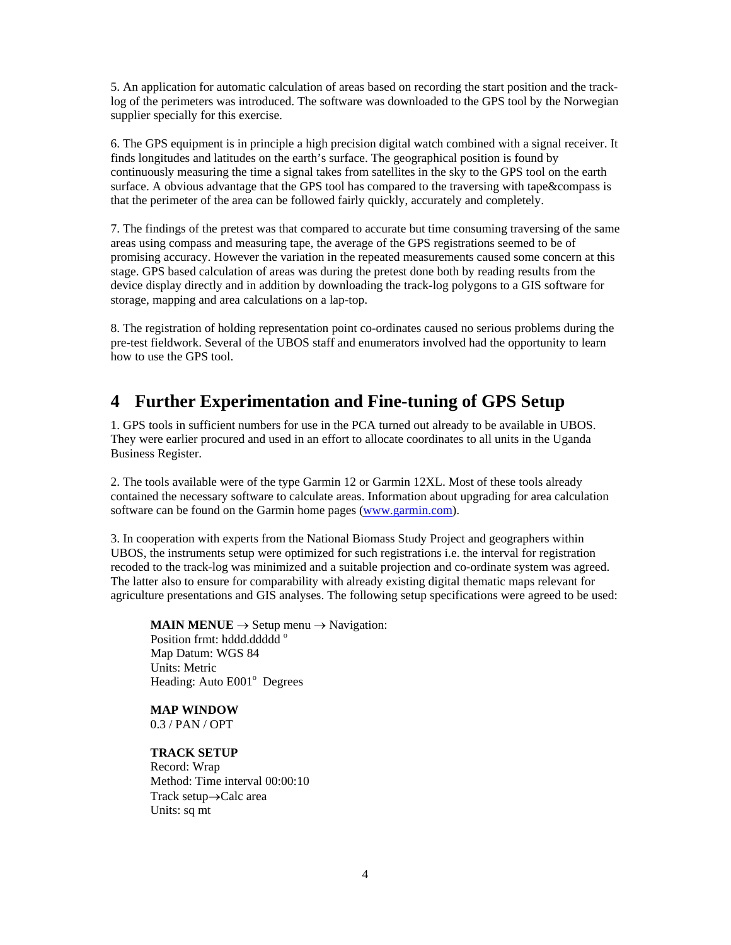5. An application for automatic calculation of areas based on recording the start position and the tracklog of the perimeters was introduced. The software was downloaded to the GPS tool by the Norwegian supplier specially for this exercise.

6. The GPS equipment is in principle a high precision digital watch combined with a signal receiver. It finds longitudes and latitudes on the earth's surface. The geographical position is found by continuously measuring the time a signal takes from satellites in the sky to the GPS tool on the earth surface. A obvious advantage that the GPS tool has compared to the traversing with tape&compass is that the perimeter of the area can be followed fairly quickly, accurately and completely.

7. The findings of the pretest was that compared to accurate but time consuming traversing of the same areas using compass and measuring tape, the average of the GPS registrations seemed to be of promising accuracy. However the variation in the repeated measurements caused some concern at this stage. GPS based calculation of areas was during the pretest done both by reading results from the device display directly and in addition by downloading the track-log polygons to a GIS software for storage, mapping and area calculations on a lap-top.

8. The registration of holding representation point co-ordinates caused no serious problems during the pre-test fieldwork. Several of the UBOS staff and enumerators involved had the opportunity to learn how to use the GPS tool.

## **4 Further Experimentation and Fine-tuning of GPS Setup**

1. GPS tools in sufficient numbers for use in the PCA turned out already to be available in UBOS. They were earlier procured and used in an effort to allocate coordinates to all units in the Uganda Business Register.

2. The tools available were of the type Garmin 12 or Garmin 12XL. Most of these tools already contained the necessary software to calculate areas. Information about upgrading for area calculation software can be found on the Garmin home pages (www.garmin.com).

3. In cooperation with experts from the National Biomass Study Project and geographers within UBOS, the instruments setup were optimized for such registrations i.e. the interval for registration recoded to the track-log was minimized and a suitable projection and co-ordinate system was agreed. The latter also to ensure for comparability with already existing digital thematic maps relevant for agriculture presentations and GIS analyses. The following setup specifications were agreed to be used:

**MAIN MENUE**  $\rightarrow$  Setup menu  $\rightarrow$  Navigation: Position frmt: hddd.ddddd<sup>o</sup> Map Datum: WGS 84 Units: Metric Heading: Auto E001<sup>°</sup> Degrees

**MAP WINDOW**  0.3 / PAN / OPT

**TRACK SETUP**  Record: Wrap Method: Time interval 00:00:10 Track setup→Calc area Units: sq mt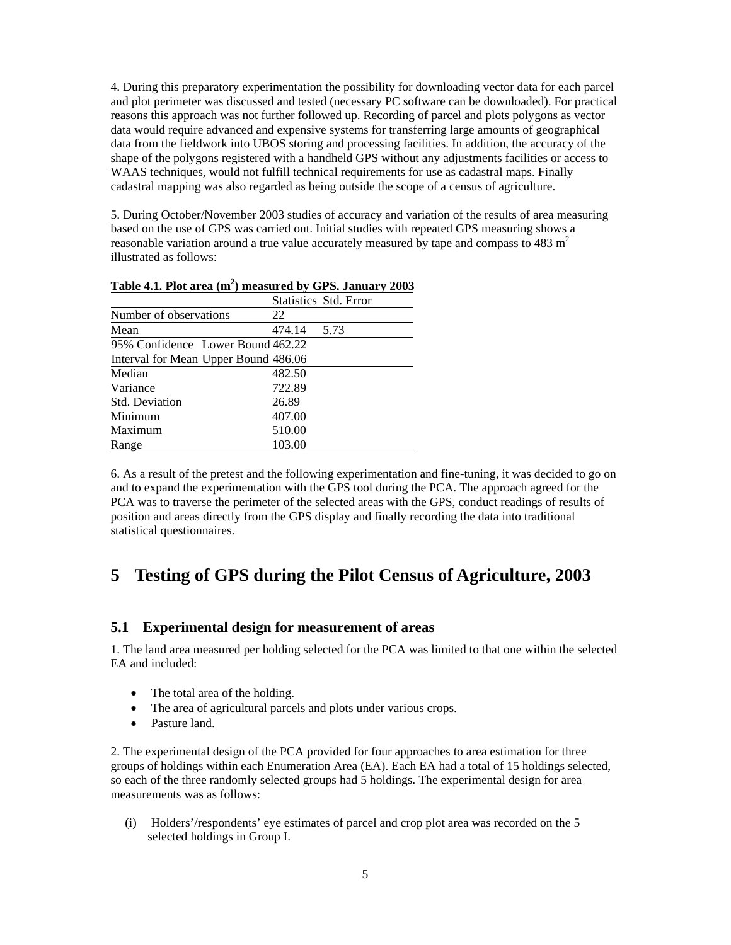4. During this preparatory experimentation the possibility for downloading vector data for each parcel and plot perimeter was discussed and tested (necessary PC software can be downloaded). For practical reasons this approach was not further followed up. Recording of parcel and plots polygons as vector data would require advanced and expensive systems for transferring large amounts of geographical data from the fieldwork into UBOS storing and processing facilities. In addition, the accuracy of the shape of the polygons registered with a handheld GPS without any adjustments facilities or access to WAAS techniques, would not fulfill technical requirements for use as cadastral maps. Finally cadastral mapping was also regarded as being outside the scope of a census of agriculture.

5. During October/November 2003 studies of accuracy and variation of the results of area measuring based on the use of GPS was carried out. Initial studies with repeated GPS measuring shows a reasonable variation around a true value accurately measured by tape and compass to  $483 \text{ m}^2$ illustrated as follows:

|                                      |        | Statistics Std. Error |
|--------------------------------------|--------|-----------------------|
| Number of observations               | 22     |                       |
| Mean                                 | 474.14 | 5.73                  |
| 95% Confidence Lower Bound 462.22    |        |                       |
| Interval for Mean Upper Bound 486.06 |        |                       |
| Median                               | 482.50 |                       |
| Variance                             | 722.89 |                       |
| <b>Std.</b> Deviation                | 26.89  |                       |
| Minimum                              | 407.00 |                       |
| Maximum                              | 510.00 |                       |
| Range                                | 103.00 |                       |

**Table 4.1. Plot area (m<sup>2</sup> ) measured by GPS. January 2003** 

6. As a result of the pretest and the following experimentation and fine-tuning, it was decided to go on and to expand the experimentation with the GPS tool during the PCA. The approach agreed for the PCA was to traverse the perimeter of the selected areas with the GPS, conduct readings of results of position and areas directly from the GPS display and finally recording the data into traditional statistical questionnaires.

### **5 Testing of GPS during the Pilot Census of Agriculture, 2003**

#### **5.1 Experimental design for measurement of areas**

1. The land area measured per holding selected for the PCA was limited to that one within the selected EA and included:

- The total area of the holding.
- The area of agricultural parcels and plots under various crops.
- Pasture land.

2. The experimental design of the PCA provided for four approaches to area estimation for three groups of holdings within each Enumeration Area (EA). Each EA had a total of 15 holdings selected, so each of the three randomly selected groups had 5 holdings. The experimental design for area measurements was as follows:

(i) Holders'/respondents' eye estimates of parcel and crop plot area was recorded on the 5 selected holdings in Group I.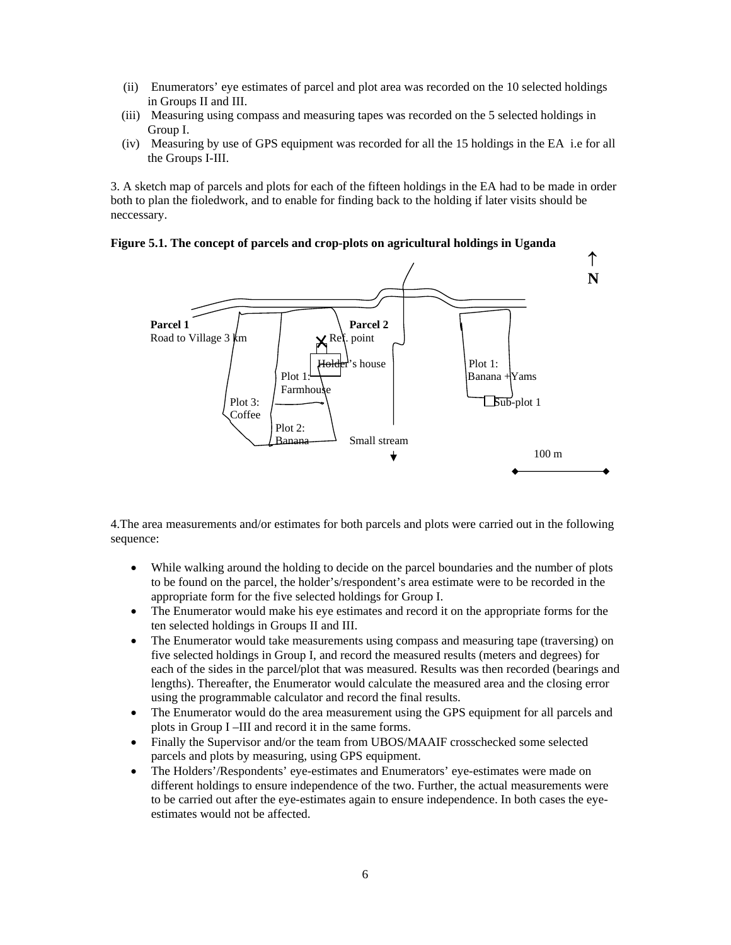- (ii) Enumerators' eye estimates of parcel and plot area was recorded on the 10 selected holdings in Groups II and III.
- (iii) Measuring using compass and measuring tapes was recorded on the 5 selected holdings in Group I.
- (iv) Measuring by use of GPS equipment was recorded for all the 15 holdings in the EA i.e for all the Groups I-III.

3. A sketch map of parcels and plots for each of the fifteen holdings in the EA had to be made in order both to plan the fioledwork, and to enable for finding back to the holding if later visits should be neccessary.

### **Figure 5.1. The concept of parcels and crop-plots on agricultural holdings in Uganda**



4.The area measurements and/or estimates for both parcels and plots were carried out in the following sequence:

- While walking around the holding to decide on the parcel boundaries and the number of plots to be found on the parcel, the holder's/respondent's area estimate were to be recorded in the appropriate form for the five selected holdings for Group I.
- The Enumerator would make his eye estimates and record it on the appropriate forms for the ten selected holdings in Groups II and III.
- The Enumerator would take measurements using compass and measuring tape (traversing) on five selected holdings in Group I, and record the measured results (meters and degrees) for each of the sides in the parcel/plot that was measured. Results was then recorded (bearings and lengths). Thereafter, the Enumerator would calculate the measured area and the closing error using the programmable calculator and record the final results.
- The Enumerator would do the area measurement using the GPS equipment for all parcels and plots in Group I –III and record it in the same forms.
- Finally the Supervisor and/or the team from UBOS/MAAIF crosschecked some selected parcels and plots by measuring, using GPS equipment.
- The Holders'/Respondents' eye-estimates and Enumerators' eye-estimates were made on different holdings to ensure independence of the two. Further, the actual measurements were to be carried out after the eye-estimates again to ensure independence. In both cases the eyeestimates would not be affected.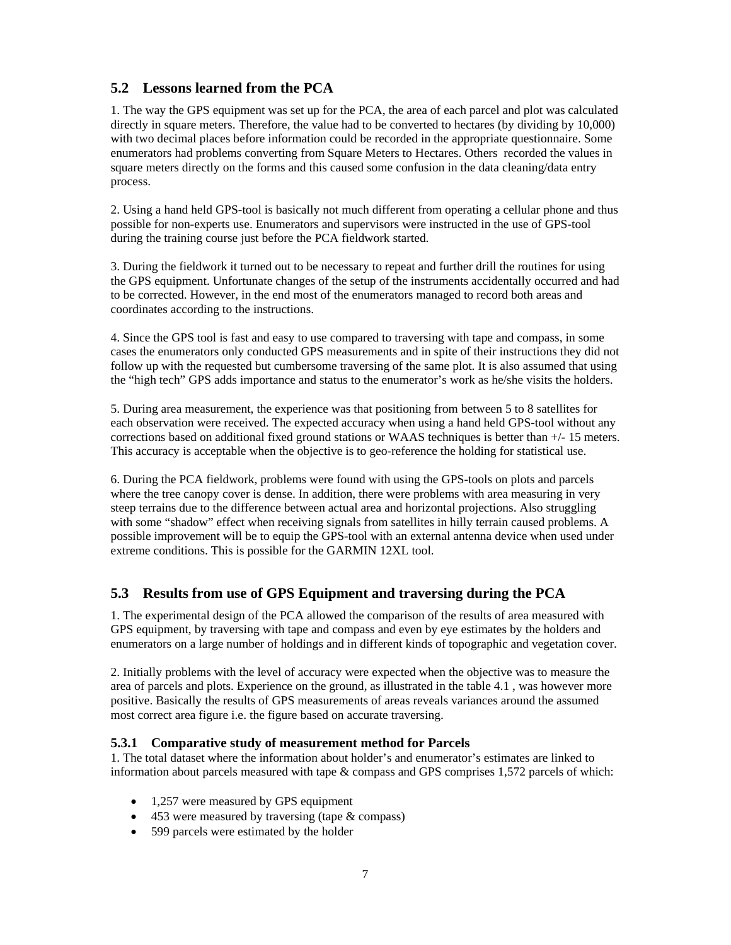### **5.2 Lessons learned from the PCA**

1. The way the GPS equipment was set up for the PCA, the area of each parcel and plot was calculated directly in square meters. Therefore, the value had to be converted to hectares (by dividing by 10,000) with two decimal places before information could be recorded in the appropriate questionnaire. Some enumerators had problems converting from Square Meters to Hectares. Others recorded the values in square meters directly on the forms and this caused some confusion in the data cleaning/data entry process.

2. Using a hand held GPS-tool is basically not much different from operating a cellular phone and thus possible for non-experts use. Enumerators and supervisors were instructed in the use of GPS-tool during the training course just before the PCA fieldwork started.

3. During the fieldwork it turned out to be necessary to repeat and further drill the routines for using the GPS equipment. Unfortunate changes of the setup of the instruments accidentally occurred and had to be corrected. However, in the end most of the enumerators managed to record both areas and coordinates according to the instructions.

4. Since the GPS tool is fast and easy to use compared to traversing with tape and compass, in some cases the enumerators only conducted GPS measurements and in spite of their instructions they did not follow up with the requested but cumbersome traversing of the same plot. It is also assumed that using the "high tech" GPS adds importance and status to the enumerator's work as he/she visits the holders.

5. During area measurement, the experience was that positioning from between 5 to 8 satellites for each observation were received. The expected accuracy when using a hand held GPS-tool without any corrections based on additional fixed ground stations or WAAS techniques is better than +/- 15 meters. This accuracy is acceptable when the objective is to geo-reference the holding for statistical use.

6. During the PCA fieldwork, problems were found with using the GPS-tools on plots and parcels where the tree canopy cover is dense. In addition, there were problems with area measuring in very steep terrains due to the difference between actual area and horizontal projections. Also struggling with some "shadow" effect when receiving signals from satellites in hilly terrain caused problems. A possible improvement will be to equip the GPS-tool with an external antenna device when used under extreme conditions. This is possible for the GARMIN 12XL tool.

### **5.3 Results from use of GPS Equipment and traversing during the PCA**

1. The experimental design of the PCA allowed the comparison of the results of area measured with GPS equipment, by traversing with tape and compass and even by eye estimates by the holders and enumerators on a large number of holdings and in different kinds of topographic and vegetation cover.

2. Initially problems with the level of accuracy were expected when the objective was to measure the area of parcels and plots. Experience on the ground, as illustrated in the table 4.1 , was however more positive. Basically the results of GPS measurements of areas reveals variances around the assumed most correct area figure i.e. the figure based on accurate traversing.

### **5.3.1 Comparative study of measurement method for Parcels**

1. The total dataset where the information about holder's and enumerator's estimates are linked to information about parcels measured with tape & compass and GPS comprises 1,572 parcels of which:

- 1,257 were measured by GPS equipment
- 453 were measured by traversing (tape & compass)
- 599 parcels were estimated by the holder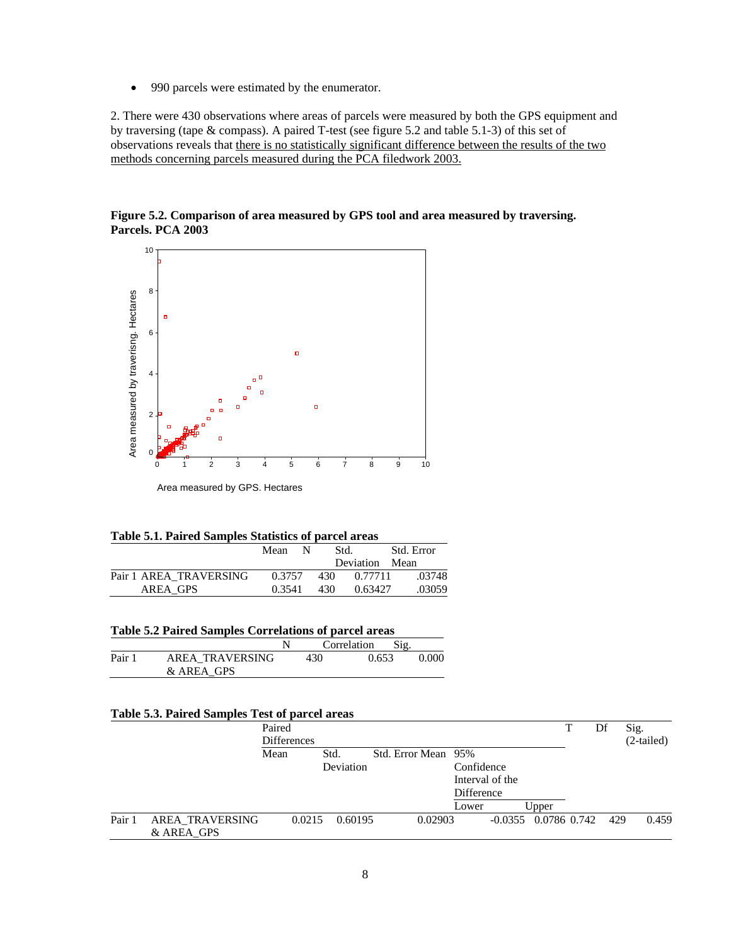• 990 parcels were estimated by the enumerator.

2. There were 430 observations where areas of parcels were measured by both the GPS equipment and by traversing (tape & compass). A paired T-test (see figure 5.2 and table 5.1-3) of this set of observations reveals that there is no statistically significant difference between the results of the two methods concerning parcels measured during the PCA filedwork 2003.

**Figure 5.2. Comparison of area measured by GPS tool and area measured by traversing. Parcels. PCA 2003** 



Area measured by GPS. Hectares

| Table 5.1. Paired Samples Statistics of parcel areas |  |  |  |  |  |  |  |  |  |
|------------------------------------------------------|--|--|--|--|--|--|--|--|--|
|------------------------------------------------------|--|--|--|--|--|--|--|--|--|

|                        | Mean N |      | Std.           | Std. Error |
|------------------------|--------|------|----------------|------------|
|                        |        |      | Deviation Mean |            |
| Pair 1 AREA TRAVERSING | 0.3757 | 430  | 0.77711        | .03748     |
| AREA GPS               | 0.3541 | -430 | 0.63427        | .03059     |

|        |                               |     | Correlation | Sig. |       |
|--------|-------------------------------|-----|-------------|------|-------|
| Pair 1 | AREA TRAVERSING<br>& AREA GPS | 430 | 0.653       |      | 0.000 |
|        |                               |     |             |      |       |

#### **Table 5.3. Paired Samples Test of parcel areas**

|        |                        | Paired<br><b>Differences</b> |           |                     |                 |                        | Df  | Sig.<br>$(2-tailed)$ |
|--------|------------------------|------------------------------|-----------|---------------------|-----------------|------------------------|-----|----------------------|
|        |                        | Mean                         | Std.      | Std. Error Mean 95% |                 |                        |     |                      |
|        |                        |                              | Deviation |                     | Confidence      |                        |     |                      |
|        |                        |                              |           |                     | Interval of the |                        |     |                      |
|        |                        |                              |           |                     | Difference      |                        |     |                      |
|        |                        |                              |           |                     | Lower           | Upper                  |     |                      |
| Pair 1 | <b>AREA TRAVERSING</b> | 0.0215                       | 0.60195   | 0.02903             |                 | $-0.0355$ 0.0786 0.742 | 429 | 0.459                |
|        | & AREA GPS             |                              |           |                     |                 |                        |     |                      |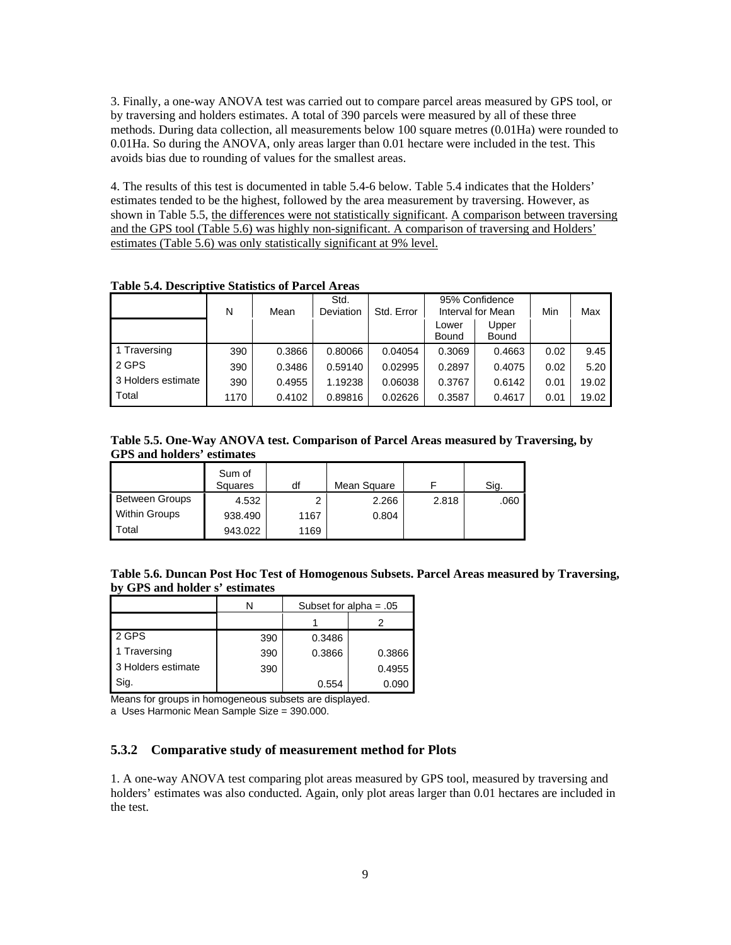3. Finally, a one-way ANOVA test was carried out to compare parcel areas measured by GPS tool, or by traversing and holders estimates. A total of 390 parcels were measured by all of these three methods. During data collection, all measurements below 100 square metres (0.01Ha) were rounded to 0.01Ha. So during the ANOVA, only areas larger than 0.01 hectare were included in the test. This avoids bias due to rounding of values for the smallest areas.

4. The results of this test is documented in table 5.4-6 below. Table 5.4 indicates that the Holders' estimates tended to be the highest, followed by the area measurement by traversing. However, as shown in Table 5.5, the differences were not statistically significant. A comparison between traversing and the GPS tool (Table 5.6) was highly non-significant. A comparison of traversing and Holders' estimates (Table 5.6) was only statistically significant at 9% level.

|                    | N    | Mean   | Std.<br>Deviation | Std. Error | 95% Confidence<br>Interval for Mean |                | Min  | Max   |
|--------------------|------|--------|-------------------|------------|-------------------------------------|----------------|------|-------|
|                    |      |        |                   |            | Lower<br>Bound                      | Upper<br>Bound |      |       |
| 1 Traversing       | 390  | 0.3866 | 0.80066           | 0.04054    | 0.3069                              | 0.4663         | 0.02 | 9.45  |
| 2 GPS              | 390  | 0.3486 | 0.59140           | 0.02995    | 0.2897                              | 0.4075         | 0.02 | 5.20  |
| 3 Holders estimate | 390  | 0.4955 | 1.19238           | 0.06038    | 0.3767                              | 0.6142         | 0.01 | 19.02 |
| Total              | 1170 | 0.4102 | 0.89816           | 0.02626    | 0.3587                              | 0.4617         | 0.01 | 19.02 |

**Table 5.4. Descriptive Statistics of Parcel Areas** 

**Table 5.5. One-Way ANOVA test. Comparison of Parcel Areas measured by Traversing, by GPS and holders' estimates** 

|                       | Sum of<br>Squares | df   | Mean Square |       | Sig. |
|-----------------------|-------------------|------|-------------|-------|------|
| <b>Between Groups</b> | 4.532             | ົ    | 2.266       | 2.818 | .060 |
| <b>Within Groups</b>  | 938.490           | 1167 | 0.804       |       |      |
| Total                 | 943.022           | 1169 |             |       |      |

| Table 5.6. Duncan Post Hoc Test of Homogenous Subsets. Parcel Areas measured by Traversing, |  |
|---------------------------------------------------------------------------------------------|--|
| by GPS and holder s' estimates                                                              |  |

|                    | N   |        | Subset for alpha = $.05$ |
|--------------------|-----|--------|--------------------------|
|                    |     |        |                          |
| 2 GPS              | 390 | 0.3486 |                          |
| 1 Traversing       | 390 | 0.3866 | 0.3866                   |
| 3 Holders estimate | 390 |        | 0.4955                   |
| Sig.               |     | 0.554  | 0.090                    |

Means for groups in homogeneous subsets are displayed.

a Uses Harmonic Mean Sample Size = 390.000.

#### **5.3.2 Comparative study of measurement method for Plots**

1. A one-way ANOVA test comparing plot areas measured by GPS tool, measured by traversing and holders' estimates was also conducted. Again, only plot areas larger than 0.01 hectares are included in the test.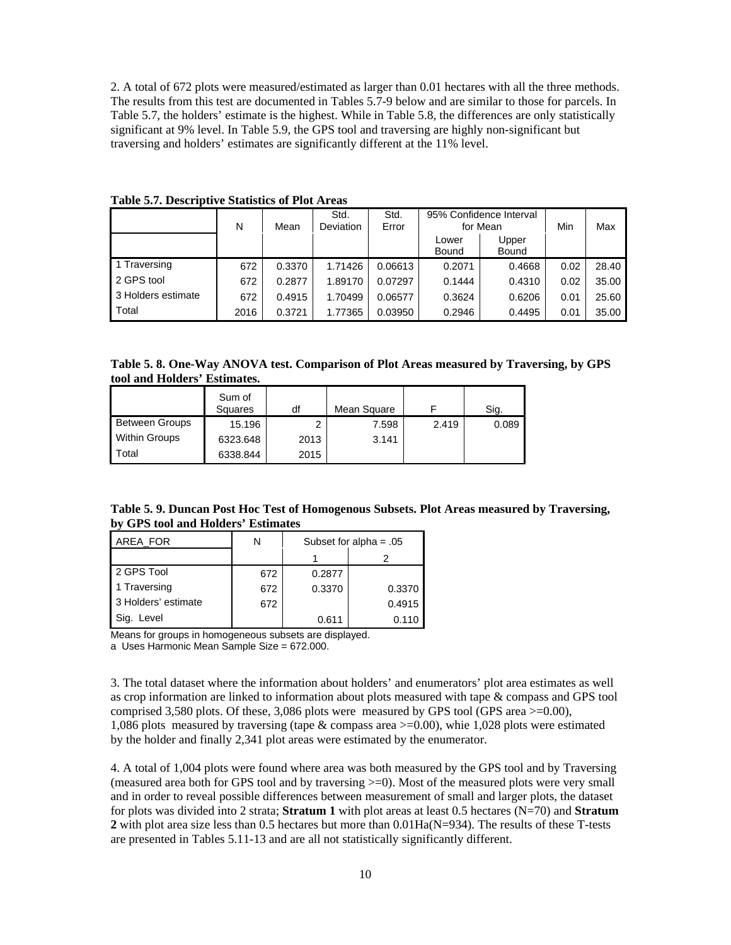2. A total of 672 plots were measured/estimated as larger than 0.01 hectares with all the three methods. The results from this test are documented in Tables 5.7-9 below and are similar to those for parcels. In Table 5.7, the holders' estimate is the highest. While in Table 5.8, the differences are only statistically significant at 9% level. In Table 5.9, the GPS tool and traversing are highly non-significant but traversing and holders' estimates are significantly different at the 11% level.

|                    | N    | Mean   | Std.<br><b>Deviation</b> | Std.<br>Error | 95% Confidence Interval<br>for Mean |                | Min  | Max   |
|--------------------|------|--------|--------------------------|---------------|-------------------------------------|----------------|------|-------|
|                    |      |        |                          |               | Lower<br>Bound                      | Upper<br>Bound |      |       |
| 1 Traversing       | 672  | 0.3370 | 1.71426                  | 0.06613       | 0.2071                              | 0.4668         | 0.02 | 28.40 |
| 2 GPS tool         | 672  | 0.2877 | 1.89170                  | 0.07297       | 0.1444                              | 0.4310         | 0.02 | 35.00 |
| 3 Holders estimate | 672  | 0.4915 | 1.70499                  | 0.06577       | 0.3624                              | 0.6206         | 0.01 | 25.60 |
| Total              | 2016 | 0.3721 | 1.77365                  | 0.03950       | 0.2946                              | 0.4495         | 0.01 | 35.00 |

**Table 5.7. Descriptive Statistics of Plot Areas** 

**Table 5. 8. One-Way ANOVA test. Comparison of Plot Areas measured by Traversing, by GPS tool and Holders' Estimates.** 

|                       | Sum of<br>Squares | df   | Mean Square |       | Sig.  |
|-----------------------|-------------------|------|-------------|-------|-------|
| <b>Between Groups</b> | 15.196            | າ    | 7.598       | 2.419 | 0.089 |
| <b>Within Groups</b>  | 6323.648          | 2013 | 3.141       |       |       |
| Total                 | 6338.844          | 2015 |             |       |       |

**Table 5. 9. Duncan Post Hoc Test of Homogenous Subsets. Plot Areas measured by Traversing, by GPS tool and Holders' Estimates** 

| AREA FOR            | N   | Subset for alpha = $.05$ |        |  |
|---------------------|-----|--------------------------|--------|--|
|                     |     |                          |        |  |
| 2 GPS Tool          | 672 | 0.2877                   |        |  |
| 1 Traversing        | 672 | 0.3370                   | 0.3370 |  |
| 3 Holders' estimate | 672 |                          | 0.4915 |  |
| Sig.<br>Level       |     | 0.611                    | 0.110  |  |

Means for groups in homogeneous subsets are displayed.

a Uses Harmonic Mean Sample Size = 672.000.

3. The total dataset where the information about holders' and enumerators' plot area estimates as well as crop information are linked to information about plots measured with tape & compass and GPS tool comprised 3,580 plots. Of these, 3,086 plots were measured by GPS tool (GPS area  $>=0.00$ ), 1,086 plots measured by traversing (tape & compass area >=0.00), whie 1,028 plots were estimated by the holder and finally 2,341 plot areas were estimated by the enumerator.

4. A total of 1,004 plots were found where area was both measured by the GPS tool and by Traversing (measured area both for GPS tool and by traversing >=0). Most of the measured plots were very small and in order to reveal possible differences between measurement of small and larger plots, the dataset for plots was divided into 2 strata; **Stratum 1** with plot areas at least 0.5 hectares (N=70) and **Stratum 2** with plot area size less than 0.5 hectares but more than 0.01Ha(N=934). The results of these T-tests are presented in Tables 5.11-13 and are all not statistically significantly different.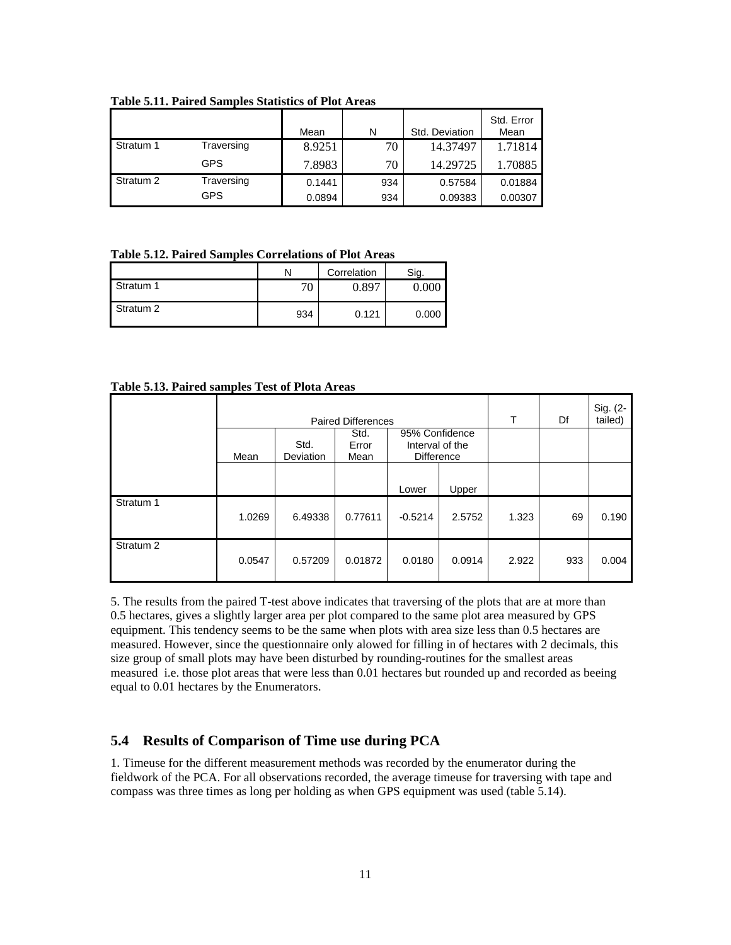|           |            | Mean   | N   | Std. Deviation | Std. Error<br>Mean |
|-----------|------------|--------|-----|----------------|--------------------|
| Stratum 1 | Traversing | 8.9251 | 70  | 14.37497       | 1.71814            |
|           | GPS        | 7.8983 | 70  | 14.29725       | 1.70885            |
| Stratum 2 | Traversing | 0.1441 | 934 | 0.57584        | 0.01884            |
|           | GPS        | 0.0894 | 934 | 0.09383        | 0.00307            |

**Table 5.11. Paired Samples Statistics of Plot Areas** 

#### **Table 5.12. Paired Samples Correlations of Plot Areas**

|           |     | Correlation | Sia.  |
|-----------|-----|-------------|-------|
| Stratum 1 | 70  | 0.897       | ስ ሰበር |
| Stratum 2 | 934 | 0.121       | 0.000 |

### **Table 5.13. Paired samples Test of Plota Areas**

|                      | <b>Paired Differences</b> |           |               |                                   | т      | Df    | Sig. (2-<br>tailed) |       |
|----------------------|---------------------------|-----------|---------------|-----------------------------------|--------|-------|---------------------|-------|
|                      |                           | Std.      | Std.<br>Error | 95% Confidence<br>Interval of the |        |       |                     |       |
|                      | Mean                      | Deviation | Mean          | <b>Difference</b>                 |        |       |                     |       |
|                      |                           |           |               | Lower                             | Upper  |       |                     |       |
| Stratum 1            | 1.0269                    | 6.49338   | 0.77611       | $-0.5214$                         | 2.5752 | 1.323 | 69                  | 0.190 |
| Stratum <sub>2</sub> | 0.0547                    | 0.57209   | 0.01872       | 0.0180                            | 0.0914 | 2.922 | 933                 | 0.004 |

5. The results from the paired T-test above indicates that traversing of the plots that are at more than 0.5 hectares, gives a slightly larger area per plot compared to the same plot area measured by GPS equipment. This tendency seems to be the same when plots with area size less than 0.5 hectares are measured. However, since the questionnaire only alowed for filling in of hectares with 2 decimals, this size group of small plots may have been disturbed by rounding-routines for the smallest areas measured i.e. those plot areas that were less than 0.01 hectares but rounded up and recorded as beeing equal to 0.01 hectares by the Enumerators.

### **5.4 Results of Comparison of Time use during PCA**

1. Timeuse for the different measurement methods was recorded by the enumerator during the fieldwork of the PCA. For all observations recorded, the average timeuse for traversing with tape and compass was three times as long per holding as when GPS equipment was used (table 5.14).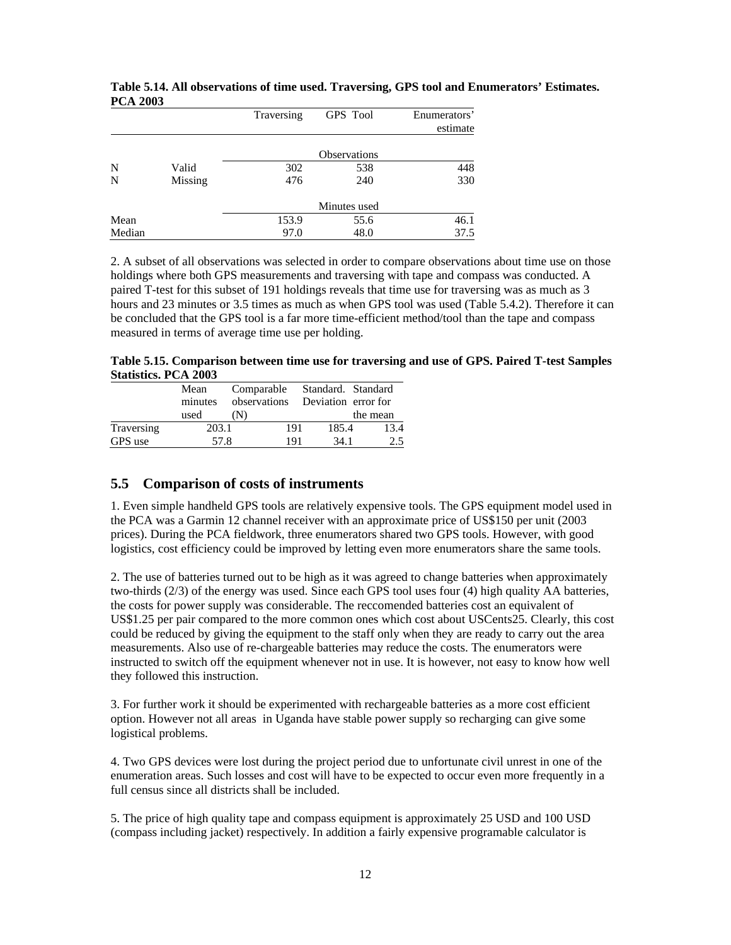|        |         | Traversing | <b>GPS</b> Tool     | Enumerators'<br>estimate |
|--------|---------|------------|---------------------|--------------------------|
|        |         |            | <b>Observations</b> |                          |
| N      | Valid   | 302        | 538                 | 448                      |
| N      | Missing | 476        | 240                 | 330                      |
|        |         |            | Minutes used        |                          |
| Mean   |         | 153.9      | 55.6                | 46.1                     |
| Median |         | 97.0       | 48.0                | 37.5                     |

#### **Table 5.14. All observations of time used. Traversing, GPS tool and Enumerators' Estimates. PCA 2003**

2. A subset of all observations was selected in order to compare observations about time use on those holdings where both GPS measurements and traversing with tape and compass was conducted. A paired T-test for this subset of 191 holdings reveals that time use for traversing was as much as 3 hours and 23 minutes or 3.5 times as much as when GPS tool was used (Table 5.4.2). Therefore it can be concluded that the GPS tool is a far more time-efficient method/tool than the tape and compass measured in terms of average time use per holding.

**Table 5.15. Comparison between time use for traversing and use of GPS. Paired T-test Samples Statistics. PCA 2003** 

|            | Mean<br>minutes<br>used | Comparable<br>observations<br>(N) | Standard. Standard<br>Deviation error for | the mean |
|------------|-------------------------|-----------------------------------|-------------------------------------------|----------|
| Traversing | 203.1                   | 191                               | 185.4                                     | 13.4     |
| GPS use    | 57.8                    | 191                               | 34 1                                      | 2.5      |

### **5.5 Comparison of costs of instruments**

1. Even simple handheld GPS tools are relatively expensive tools. The GPS equipment model used in the PCA was a Garmin 12 channel receiver with an approximate price of US\$150 per unit (2003 prices). During the PCA fieldwork, three enumerators shared two GPS tools. However, with good logistics, cost efficiency could be improved by letting even more enumerators share the same tools.

2. The use of batteries turned out to be high as it was agreed to change batteries when approximately two-thirds (2/3) of the energy was used. Since each GPS tool uses four (4) high quality AA batteries, the costs for power supply was considerable. The reccomended batteries cost an equivalent of US\$1.25 per pair compared to the more common ones which cost about USCents25. Clearly, this cost could be reduced by giving the equipment to the staff only when they are ready to carry out the area measurements. Also use of re-chargeable batteries may reduce the costs. The enumerators were instructed to switch off the equipment whenever not in use. It is however, not easy to know how well they followed this instruction.

3. For further work it should be experimented with rechargeable batteries as a more cost efficient option. However not all areas in Uganda have stable power supply so recharging can give some logistical problems.

4. Two GPS devices were lost during the project period due to unfortunate civil unrest in one of the enumeration areas. Such losses and cost will have to be expected to occur even more frequently in a full census since all districts shall be included.

5. The price of high quality tape and compass equipment is approximately 25 USD and 100 USD (compass including jacket) respectively. In addition a fairly expensive programable calculator is